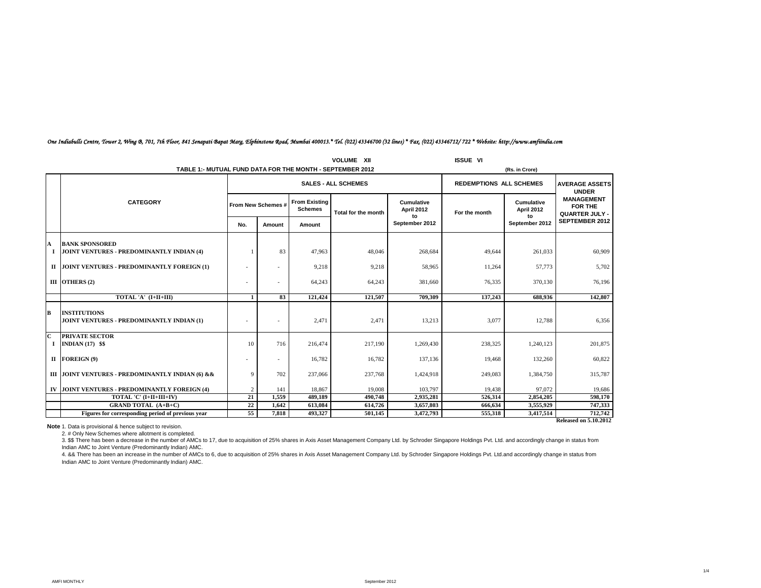|                  | <b>VOLUME XII</b><br><b>ISSUE VI</b><br>TABLE 1:- MUTUAL FUND DATA FOR THE MONTH - SEPTEMBER 2012<br>(Rs. in Crore) |                          |                            |                                        |                     |                                 |                                |                          |                                                              |
|------------------|---------------------------------------------------------------------------------------------------------------------|--------------------------|----------------------------|----------------------------------------|---------------------|---------------------------------|--------------------------------|--------------------------|--------------------------------------------------------------|
|                  |                                                                                                                     |                          | <b>SALES - ALL SCHEMES</b> |                                        |                     |                                 | <b>REDEMPTIONS ALL SCHEMES</b> |                          | <b>AVERAGE ASSETS</b><br><b>UNDER</b>                        |
|                  | <b>CATEGORY</b>                                                                                                     |                          | From New Schemes #         | <b>From Existing</b><br><b>Schemes</b> | Total for the month | <b>Cumulative</b><br>April 2012 | For the month                  | Cumulative<br>April 2012 | <b>MANAGEMENT</b><br><b>FOR THE</b><br><b>QUARTER JULY -</b> |
|                  |                                                                                                                     | No.                      | Amount                     | Amount                                 |                     | to<br>September 2012            |                                | to<br>September 2012     | SEPTEMBER 2012                                               |
| A<br>$\mathbf I$ | <b>BANK SPONSORED</b><br>JOINT VENTURES - PREDOMINANTLY INDIAN (4)                                                  |                          | 83                         | 47,963                                 | 48,046              | 268,684                         | 49,644                         | 261,033                  | 60,909                                                       |
|                  | II JOINT VENTURES - PREDOMINANTLY FOREIGN (1)                                                                       | $\overline{\phantom{a}}$ | $\overline{\phantom{a}}$   | 9,218                                  | 9,218               | 58,965                          | 11,264                         | 57,773                   | 5,702                                                        |
|                  | III OTHERS (2)                                                                                                      | $\sim$                   | ٠                          | 64,243                                 | 64,243              | 381,660                         | 76.335                         | 370,130                  | 76,196                                                       |
|                  | TOTAL 'A' (I+II+III)                                                                                                |                          | 83                         | 121,424                                | 121.507             | 709.309                         | 137.243                        | 688,936                  | 142,807                                                      |
| В                | <b>INSTITUTIONS</b><br>JOINT VENTURES - PREDOMINANTLY INDIAN (1)                                                    |                          |                            | 2,471                                  | 2,471               | 13,213                          | 3,077                          | 12,788                   | 6,356                                                        |
| C<br>Т.          | <b>PRIVATE SECTOR</b><br>INDIAN $(17)$ \$\$                                                                         | 10                       | 716                        | 216,474                                | 217,190             | 1,269,430                       | 238,325                        | 1,240,123                | 201,875                                                      |
|                  | II FOREIGN (9)                                                                                                      | $\sim$                   |                            | 16.782                                 | 16,782              | 137,136                         | 19,468                         | 132,260                  | 60,822                                                       |
|                  | III JOINT VENTURES - PREDOMINANTLY INDIAN (6) & &                                                                   | 9                        | 702                        | 237,066                                | 237,768             | 1,424,918                       | 249,083                        | 1,384,750                | 315,787                                                      |
|                  | IV JOINT VENTURES - PREDOMINANTLY FOREIGN (4)                                                                       | $\overline{2}$           | 141                        | 18.867                                 | 19,008              | 103,797                         | 19.438                         | 97,072                   | 19,686                                                       |
|                  | TOTAL 'C' (I+II+III+IV)                                                                                             | 21                       | 1.559                      | 489.189                                | 490,748             | 2,935,281                       | 526,314                        | 2,854,205                | 598,170                                                      |
|                  | <b>GRAND TOTAL (A+B+C)</b>                                                                                          | 22                       | 1,642                      | 613,084                                | 614,726             | 3,657,803                       | 666,634                        | 3,555,929                | 747,333                                                      |
|                  | Figures for corresponding period of previous year                                                                   | 55                       | 7.818                      | 493,327                                | 501.145             | 3,472,793                       | 555.318                        | 3,417,514                | 712,742                                                      |
|                  |                                                                                                                     |                          |                            |                                        |                     |                                 |                                |                          | <b>Released on 5.10.2012</b>                                 |

# *One Indiabulls Centre, Tower 2, Wing B, 701, 7th Floor, 841 Senapati Bapat Marg, Elphinstone Road, Mumbai 400013.\* Tel. (022) 43346700 (32 lines) \* Fax. (022) 43346712/ 722 \* Website: http://www.amfiindia.com*

**Note** 1. Data is provisional & hence subject to revision.

2. # Only New Schemes where allotment is completed.

exhousting the has been a decrease in the number of AMCs to 17, due to acquisition of 25% shares in Axis Asset Management Company Ltd. by Schroder Singapore Holdings Pvt. Ltd. and accordingly change in status from Indian AMC to Joint Venture (Predominantly Indian) AMC.

4. && There has been an increase in the number of AMCs to 6, due to acquisition of 25% shares in Axis Asset Management Company Ltd. by Schroder Singapore Holdings Pvt. Ltd.and accordingly change in status from Indian AMC to Joint Venture (Predominantly Indian) AMC.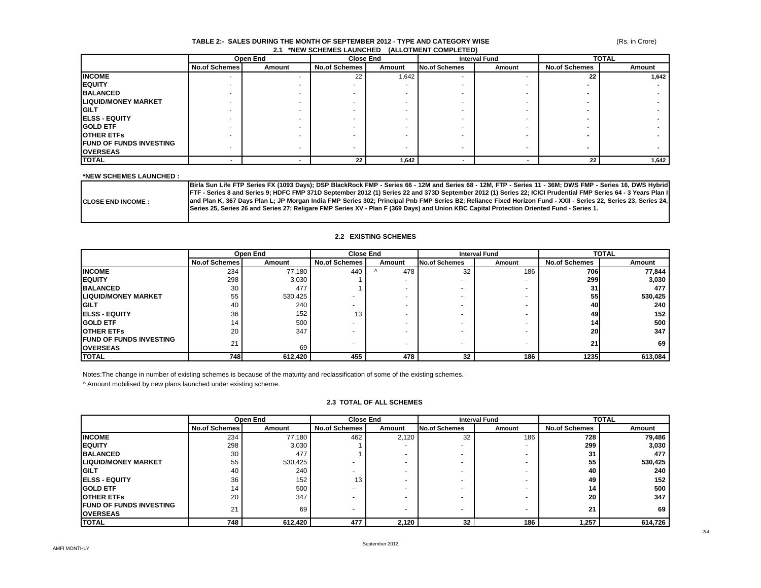### **TABLE 2:- SALES DURING THE MONTH OF SEPTEMBER 2012 - TYPE AND CATEGORY WISE 2.1 \*NEW SCHEMES LAUNCHED (ALLOTMENT COMPLETED)**

(Rs. in Crore)

|                                 |                          | Open End | <b>Close End</b>     |        |                          | <b>Interval Fund</b> |                      | <b>TOTAL</b> |  |
|---------------------------------|--------------------------|----------|----------------------|--------|--------------------------|----------------------|----------------------|--------------|--|
|                                 | <b>No.of Schemes</b>     | Amount   | <b>No.of Schemes</b> | Amount | <b>No.of Schemes</b>     | Amount               | <b>No.of Schemes</b> | Amount       |  |
| <b>INCOME</b>                   | $\overline{\phantom{a}}$ |          | 22                   | 1,642  | $\overline{\phantom{a}}$ |                      | 22                   | 1,642        |  |
| <b>IEQUITY</b>                  |                          |          |                      |        |                          |                      |                      |              |  |
| <b>BALANCED</b>                 |                          |          |                      |        |                          |                      |                      |              |  |
| <b>LIQUID/MONEY MARKET</b>      | $\sim$                   |          |                      |        |                          |                      |                      |              |  |
| <b>IGILT</b>                    | -                        |          |                      |        |                          |                      |                      |              |  |
| <b>IELSS - EQUITY</b>           |                          |          |                      |        |                          |                      |                      |              |  |
| <b>IGOLD ETF</b>                |                          |          |                      |        |                          |                      |                      |              |  |
| <b>OTHER ETFS</b>               |                          |          |                      |        |                          |                      |                      |              |  |
| <b>IFUND OF FUNDS INVESTING</b> |                          |          |                      |        | $\overline{\phantom{a}}$ |                      |                      |              |  |
| <b>OVERSEAS</b>                 |                          |          |                      |        |                          |                      |                      |              |  |
| <b>TOTAL</b>                    |                          |          | 22                   | 1,642  |                          |                      | 22                   | 1,642        |  |

### **\*NEW SCHEMES LAUNCHED :**

|                            | Birla Sun Life FTP Series FX (1093 Days); DSP BlackRock FMP - Series 66 - 12M and Series 68 - 12M, FTP - Series 11 - 36M; DWS FMP - Series 16, DWS Hybrid        |
|----------------------------|------------------------------------------------------------------------------------------------------------------------------------------------------------------|
|                            | FTF - Series 8 and Series 9; HDFC FMP 371D September 2012 (1) Series 22 and 373D September 2012 (1) Series 22; ICICI Prudential FMP Series 64 - 3 Years Plan I   |
| <b>ICLOSE END INCOME :</b> | Jand Plan K, 367 Days Plan L; JP Morgan India FMP Series 302; Principal Pnb FMP Series B2; Reliance Fixed Horizon Fund - XXII - Series 22, Series 23, Series 24, |
|                            | JSeries 25, Series 26 and Series 27; Religare FMP Series XV - Plan F (369 Days) and Union KBC Capital Protection Oriented Fund - Series 1.                       |
|                            |                                                                                                                                                                  |

### **2.2 EXISTING SCHEMES**

|                                 |                      | Open End | <b>Close End</b>     |        | <b>Interval Fund</b> |        | <b>TOTAL</b>         |         |
|---------------------------------|----------------------|----------|----------------------|--------|----------------------|--------|----------------------|---------|
|                                 | <b>No.of Schemes</b> | Amount   | <b>No.of Schemes</b> | Amount | <b>No.of Schemes</b> | Amount | <b>No.of Schemes</b> | Amount  |
| <b>INCOME</b>                   | 234                  | 77.180   | 440                  | 478    | 32                   | 186    | 706I                 | 77,844  |
| <b>IEQUITY</b>                  | 298                  | 3,030    |                      |        |                      |        | <b>299</b>           | 3,030   |
| <b>BALANCED</b>                 | 30                   | 477      |                      |        |                      |        | 31                   | 477     |
| <b>LIQUID/MONEY MARKET</b>      | 55                   | 530,425  |                      |        |                      |        | 55                   | 530,425 |
| <b>IGILT</b>                    | 40                   | 240      |                      |        |                      |        | 40                   | 240     |
| <b>IELSS - EQUITY</b>           | 36                   | 152      | 13                   |        |                      |        | 49                   | 152     |
| <b>IGOLD ETF</b>                | 14                   | 500      |                      |        |                      |        | 141                  | 500     |
| <b>IOTHER ETFS</b>              | 20                   | 347      |                      |        |                      |        | <b>20</b>            | 347     |
| <b>IFUND OF FUNDS INVESTING</b> | 21                   |          |                      |        |                      |        | 21                   | 69      |
| <b>OVERSEAS</b>                 |                      | 69       |                      |        | -                    |        |                      |         |
| <b>TOTAL</b>                    | 748                  | 612,420  | 455                  | 478    | 32                   | 186    | 1235                 | 613,084 |

Notes:The change in number of existing schemes is because of the maturity and reclassification of some of the existing schemes.

^ Amount mobilised by new plans launched under existing scheme.

# **2.3 TOTAL OF ALL SCHEMES**

|                                |                      | Open End | <b>Close End</b>     |        |               | <b>Interval Fund</b>     |                      | <b>TOTAL</b> |
|--------------------------------|----------------------|----------|----------------------|--------|---------------|--------------------------|----------------------|--------------|
|                                | <b>No.of Schemes</b> | Amount   | <b>No.of Schemes</b> | Amount | No.of Schemes | Amount                   | <b>No.of Schemes</b> | Amount       |
| <b>INCOME</b>                  | 234                  | 77,180   | 462                  | 2,120  | 32            | 186                      | 728                  | 79,486       |
| <b>IEQUITY</b>                 | 298                  | 3,030    |                      |        |               | $\overline{\phantom{0}}$ | 299                  | 3,030        |
| <b>BALANCED</b>                | 30                   | 477      |                      |        |               |                          | 31                   | 477          |
| <b>LIQUID/MONEY MARKET</b>     | 55                   | 530,425  |                      |        |               |                          | 55                   | 530,425      |
| <b>IGILT</b>                   | 40                   | 240      |                      |        |               |                          | 40                   | 240          |
| <b>IELSS - EQUITY</b>          | 36                   | 152      | 13                   |        |               |                          | 49                   | 152          |
| <b>IGOLD ETF</b>               | 14                   | 500      |                      |        |               |                          | 14                   | 500          |
| <b>IOTHER ETFS</b>             | 20                   | 347      |                      |        |               |                          | 20                   | 347          |
| <b>FUND OF FUNDS INVESTING</b> | 21                   | 69       |                      |        |               |                          | 21                   | 69           |
| <b>OVERSEAS</b>                |                      |          |                      |        |               |                          |                      |              |
| <b>TOTAL</b>                   | 748                  | 612,420  | 477                  | 2,120  | 32            | 186                      | 1,257                | 614,726      |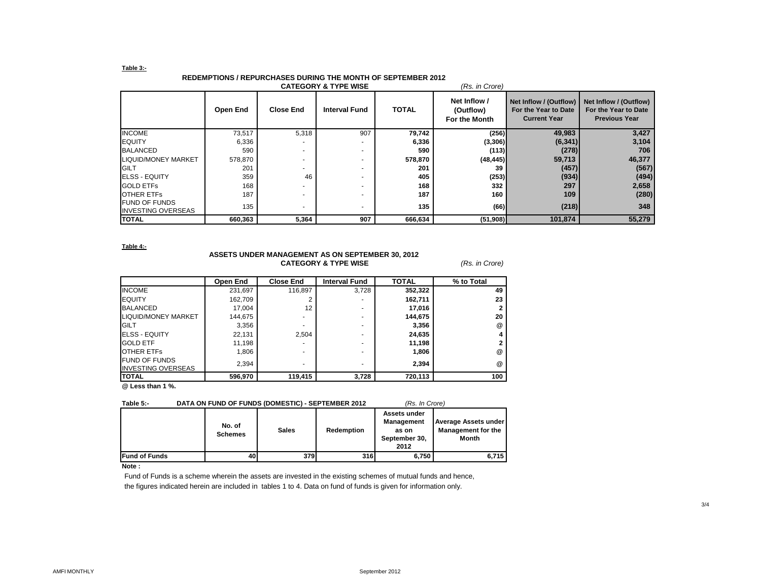### **Table 3:-**

# **REDEMPTIONS / REPURCHASES DURING THE MONTH OF SEPTEMBER 2012**

|                                                   |          |                  | <b>CATEGORY &amp; TYPE WISE</b> |              | (Rs. in Crore)                             |                                                                       |                                                                        |
|---------------------------------------------------|----------|------------------|---------------------------------|--------------|--------------------------------------------|-----------------------------------------------------------------------|------------------------------------------------------------------------|
|                                                   | Open End | <b>Close End</b> | <b>Interval Fund</b>            | <b>TOTAL</b> | Net Inflow /<br>(Outflow)<br>For the Month | Net Inflow / (Outflow)<br>For the Year to Date<br><b>Current Year</b> | Net Inflow / (Outflow)<br>For the Year to Date<br><b>Previous Year</b> |
| <b>INCOME</b>                                     | 73,517   | 5,318            | 907                             | 79,742       | (256)                                      | 49,983                                                                | 3,427                                                                  |
| <b>EQUITY</b>                                     | 6,336    |                  |                                 | 6,336        | (3,306)                                    | (6, 341)                                                              | 3,104                                                                  |
| <b>BALANCED</b>                                   | 590      |                  |                                 | 590          | (113)                                      | (278)                                                                 | 706                                                                    |
| LIQUID/MONEY MARKET                               | 578,870  |                  |                                 | 578,870      | (48, 445)                                  | 59,713                                                                | 46,377                                                                 |
| <b>GILT</b>                                       | 201      |                  |                                 | 201          | 39                                         | (457)                                                                 | (567)                                                                  |
| <b>ELSS - EQUITY</b>                              | 359      | 46               | ۰.                              | 405          | (253)                                      | (934)                                                                 | (494)                                                                  |
| <b>GOLD ETFS</b>                                  | 168      |                  |                                 | 168          | 332                                        | 297                                                                   | 2,658                                                                  |
| <b>OTHER ETFS</b>                                 | 187      |                  |                                 | 187          | 160                                        | 109                                                                   | (280)                                                                  |
| <b>FUND OF FUNDS</b><br><b>INVESTING OVERSEAS</b> | 135      |                  |                                 | 135          | (66)                                       | (218)                                                                 | 348                                                                    |
| <b>TOTAL</b>                                      | 660,363  | 5,364            | 907                             | 666,634      | (51,908)                                   | 101,874                                                               | 55,279                                                                 |

**Table 4:-**

### **ASSETS UNDER MANAGEMENT AS ON SEPTEMBER 30, 2012 CATEGORY & TYPE WISE** *(Rs. in Crore)*

|                                                   | Open End | <b>Close End</b> | <b>Interval Fund</b> | <b>TOTAL</b> | % to Total           |
|---------------------------------------------------|----------|------------------|----------------------|--------------|----------------------|
| <b>INCOME</b>                                     | 231,697  | 116.897          | 3,728                | 352,322      | 49                   |
| <b>EQUITY</b>                                     | 162,709  |                  | ۰                    | 162.711      | 23                   |
| <b>BALANCED</b>                                   | 17.004   | 12               | ۰                    | 17,016       |                      |
| LIQUID/MONEY MARKET                               | 144,675  |                  | ۰                    | 144.675      | 20                   |
| <b>GILT</b>                                       | 3,356    |                  | ۰                    | 3,356        | $^{\textregistered}$ |
| <b>ELSS - EQUITY</b>                              | 22,131   | 2.504            | ۰                    | 24,635       |                      |
| <b>GOLD ETF</b>                                   | 11,198   |                  | ۰                    | 11,198       |                      |
| <b>OTHER ETFS</b>                                 | 1,806    |                  | ۰                    | 1,806        | $^{\circledR}$       |
| <b>FUND OF FUNDS</b><br><b>INVESTING OVERSEAS</b> | 2,394    |                  | ۰                    | 2.394        | $^{\textregistered}$ |
| <b>TOTAL</b>                                      | 596,970  | 119,415          | 3,728                | 720,113      | 100                  |

**@ Less than 1 %.**

### **Table 5:- DATA ON FUND OF FUNDS (DOMESTIC) - SEPTEMBER 2012** *(Rs. In Crore)*

|                      | No. of<br><b>Schemes</b> | <b>Sales</b> | Redemption | Assets under<br><b>Management</b><br>as on<br>September 30,<br>2012 | <b>Average Assets under</b><br><b>Management for the</b><br><b>Month</b> |
|----------------------|--------------------------|--------------|------------|---------------------------------------------------------------------|--------------------------------------------------------------------------|
| <b>Fund of Funds</b> | 40                       | 379          | 316        | 6,750                                                               | 6.715                                                                    |

# **Note :**

Fund of Funds is a scheme wherein the assets are invested in the existing schemes of mutual funds and hence, the figures indicated herein are included in tables 1 to 4. Data on fund of funds is given for information only.